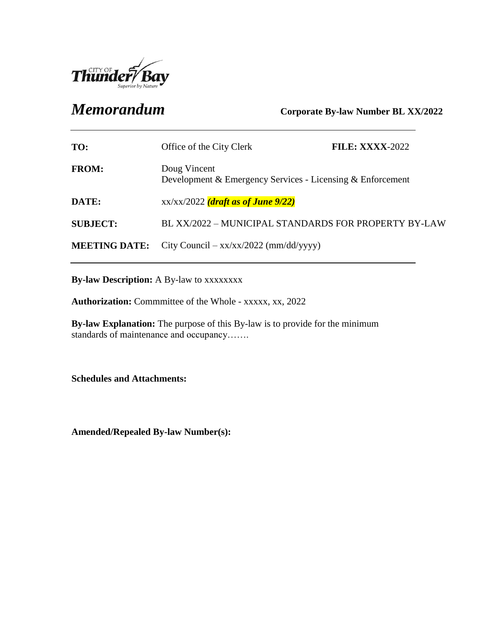

*Memorandum* **Corporate By-law Number BL XX/2022**

| TO:                  | Office of the City Clerk                                                   | <b>FILE: XXXX-2022</b> |
|----------------------|----------------------------------------------------------------------------|------------------------|
| <b>FROM:</b>         | Doug Vincent<br>Development & Emergency Services - Licensing & Enforcement |                        |
| DATE:                | $xx/xx/2022$ (draft as of June 9/22)                                       |                        |
| <b>SUBJECT:</b>      | BL XX/2022 – MUNICIPAL STANDARDS FOR PROPERTY BY-LAW                       |                        |
| <b>MEETING DATE:</b> | City Council – $xx/xx/2022$ (mm/dd/yyyy)                                   |                        |

**By-law Description:** A By-law to xxxxxxxx

**Authorization:** Commmittee of the Whole - xxxxx, xx, 2022

**By-law Explanation:** The purpose of this By-law is to provide for the minimum standards of maintenance and occupancy…….

**Schedules and Attachments:**

**Amended/Repealed By-law Number(s):**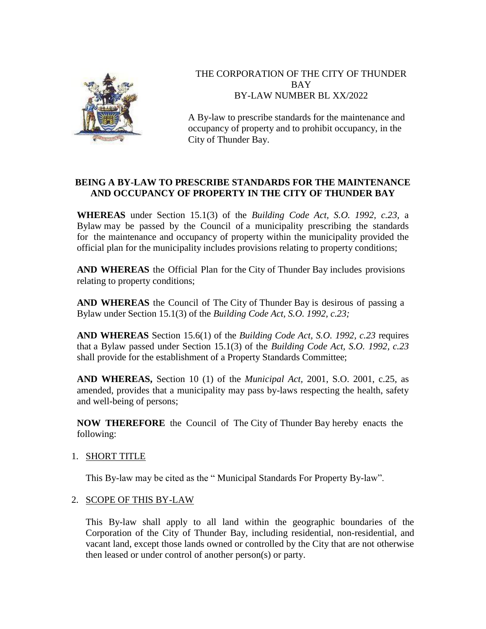

# THE CORPORATION OF THE CITY OF THUNDER BAY BY-LAW NUMBER BL XX/2022

A By-law to prescribe standards for the maintenance and occupancy of property and to prohibit occupancy, in the City of Thunder Bay.

# **BEING A BY-LAW TO PRESCRIBE STANDARDS FOR THE MAINTENANCE AND OCCUPANCY OF PROPERTY IN THE CITY OF THUNDER BAY**

**WHEREAS** under Section 15.1(3) of the *Building Code Act, S.O. 1992, c.23,* a Bylaw may be passed by the Council of a municipality prescribing the standards for the maintenance and occupancy of property within the municipality provided the official plan for the municipality includes provisions relating to property conditions;

**AND WHEREAS** the Official Plan for the City of Thunder Bay includes provisions relating to property conditions;

**AND WHEREAS** the Council of The City of Thunder Bay is desirous of passing a Bylaw under Section 15.1(3) of the *Building Code Act, S.O. 1992, c.23;*

**AND WHEREAS** Section 15.6(1) of the *Building Code Act, S.O. 1992, c.23* requires that a Bylaw passed under Section 15.1(3) of the *Building Code Act, S.O. 1992, c.23* shall provide for the establishment of a Property Standards Committee;

**AND WHEREAS,** Section 10 (1) of the *Municipal Act,* 2001, S.O. 2001, c.25, as amended, provides that a municipality may pass by-laws respecting the health, safety and well-being of persons;

**NOW THEREFORE** the Council of The City of Thunder Bay hereby enacts the following:

# 1. SHORT TITLE

This By-law may be cited as the " Municipal Standards For Property By-law".

## 2. SCOPE OF THIS BY-LAW

This By-law shall apply to all land within the geographic boundaries of the Corporation of the City of Thunder Bay, including residential, non-residential, and vacant land, except those lands owned or controlled by the City that are not otherwise then leased or under control of another person(s) or party.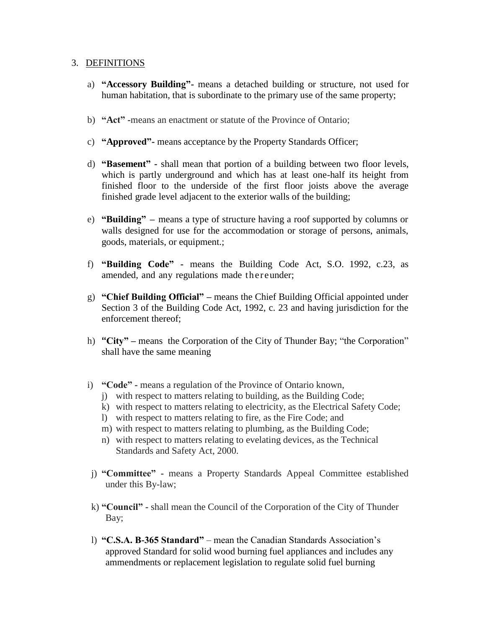#### 3. DEFINITIONS

- a) **"Accessory Building"-** means a detached building or structure, not used for human habitation, that is subordinate to the primary use of the same property;
- b) **"Act" -**means an enactment or statute of the Province of Ontario;
- c) **"Approved"-** means acceptance by the Property Standards Officer;
- d) **"Basement" -** shall mean that portion of a building between two floor levels, which is partly underground and which has at least one-half its height from finished floor to the underside of the first floor joists above the average finished grade level adjacent to the exterior walls of the building;
- e) **"Building" –** means a type of structure having a roof supported by columns or walls designed for use for the accommodation or storage of persons, animals, goods, materials, or equipment.;
- f) **"Building Code" -** means the Building Code Act, S.O. 1992, c.23, as amended, and any regulations made thereunder;
- g) **"Chief Building Official" –** means the Chief Building Official appointed under Section 3 of the Building Code Act, 1992, c. 23 and having jurisdiction for the enforcement thereof;
- h) **"City" –** means the Corporation of the City of Thunder Bay; "the Corporation" shall have the same meaning
- i) **"Code" -** means a regulation of the Province of Ontario known,
	- j) with respect to matters relating to building, as the Building Code;
	- k) with respect to matters relating to electricity, as the Electrical Safety Code;
	- l) with respect to matters relating to fire, as the Fire Code; and
	- m) with respect to matters relating to plumbing, as the Building Code;
	- n) with respect to matters relating to evelating devices, as the Technical Standards and Safety Act, 2000.
- j) **"Committee" -** means a Property Standards Appeal Committee established under this By-law;
- k) **"Council" -** shall mean the Council of the Corporation of the City of Thunder Bay;
- l) **"C.S.A. B-365 Standard"**  mean the Canadian Standards Association's approved Standard for solid wood burning fuel appliances and includes any ammendments or replacement legislation to regulate solid fuel burning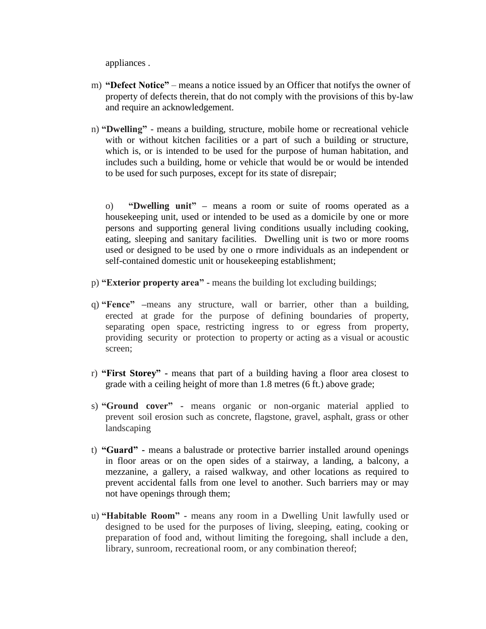appliances .

- m) **"Defect Notice"**  means a notice issued by an Officer that notifys the owner of property of defects therein, that do not comply with the provisions of this by-law and require an acknowledgement.
- n) **"Dwelling" -** means a building, structure, mobile home or recreational vehicle with or without kitchen facilities or a part of such a building or structure, which is, or is intended to be used for the purpose of human habitation, and includes such a building, home or vehicle that would be or would be intended to be used for such purposes, except for its state of disrepair;

o) **"Dwelling unit" –** means a room or suite of rooms operated as a housekeeping unit, used or intended to be used as a domicile by one or more persons and supporting general living conditions usually including cooking, eating, sleeping and sanitary facilities. Dwelling unit is two or more rooms used or designed to be used by one o rmore individuals as an independent or self-contained domestic unit or housekeeping establishment;

- p) **"Exterior property area" -** means the building lot excluding buildings;
- q) **"Fence" –**means any structure, wall or barrier, other than a building, erected at grade for the purpose of defining boundaries of property, separating open space, restricting ingress to or egress from property, providing security or protection to property or acting as a visual or acoustic screen;
- r) **"First Storey" -** means that part of a building having a floor area closest to grade with a ceiling height of more than 1.8 metres (6 ft.) above grade;
- s) **"Ground cover" -** means organic or non-organic material applied to prevent soil erosion such as concrete, flagstone, gravel, asphalt, grass or other landscaping
- t) **"Guard" -** means a balustrade or protective barrier installed around openings in floor areas or on the open sides of a stairway, a landing, a balcony, a mezzanine, a gallery, a raised walkway, and other locations as required to prevent accidental falls from one level to another. Such barriers may or may not have openings through them;
- u) **"Habitable Room" -** means any room in a Dwelling Unit lawfully used or designed to be used for the purposes of living, sleeping, eating, cooking or preparation of food and, without limiting the foregoing, shall include a den, library, sunroom, recreational room, or any combination thereof;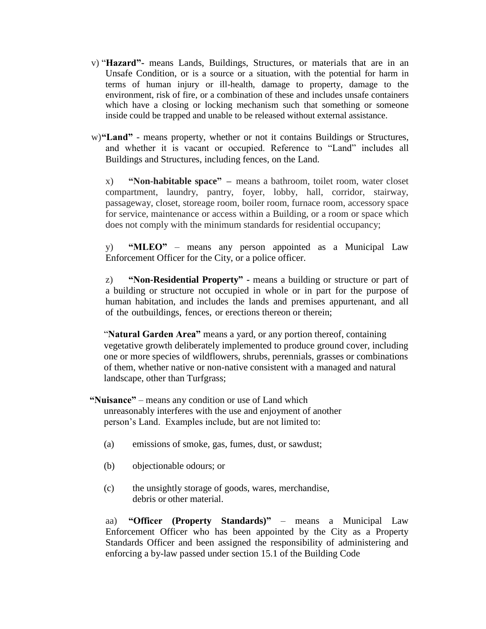- v) "**Hazard"-** means Lands, Buildings, Structures, or materials that are in an Unsafe Condition, or is a source or a situation, with the potential for harm in terms of human injury or ill-health, damage to property, damage to the environment, risk of fire, or a combination of these and includes unsafe containers which have a closing or locking mechanism such that something or someone inside could be trapped and unable to be released without external assistance.
- w)**"Land"**  means property, whether or not it contains Buildings or Structures, and whether it is vacant or occupied. Reference to "Land" includes all Buildings and Structures, including fences, on the Land.

x) **"Non-habitable space" –** means a bathroom, toilet room, water closet compartment, laundry, pantry, foyer, lobby, hall, corridor, stairway, passageway, closet, storeage room, boiler room, furnace room, accessory space for service, maintenance or access within a Building, or a room or space which does not comply with the minimum standards for residential occupancy;

y) **"MLEO"** – means any person appointed as a Municipal Law Enforcement Officer for the City, or a police officer.

z) **"Non-Residential Property" -** means a building or structure or part of a building or structure not occupied in whole or in part for the purpose of human habitation, and includes the lands and premises appurtenant, and all of the outbuildings, fences, or erections thereon or therein;

"**Natural Garden Area"** means a yard, or any portion thereof, containing vegetative growth deliberately implemented to produce ground cover, including one or more species of wildflowers, shrubs, perennials, grasses or combinations of them, whether native or non-native consistent with a managed and natural landscape, other than Turfgrass;

**"Nuisance"** – means any condition or use of Land which unreasonably interferes with the use and enjoyment of another person's Land. Examples include, but are not limited to:

- (a) emissions of smoke, gas, fumes, dust, or sawdust;
- (b) objectionable odours; or
- (c) the unsightly storage of goods, wares, merchandise, debris or other material.

aa) **"Officer (Property Standards)"** – means a Municipal Law Enforcement Officer who has been appointed by the City as a Property Standards Officer and been assigned the responsibility of administering and enforcing a by-law passed under section 15.1 of the Building Code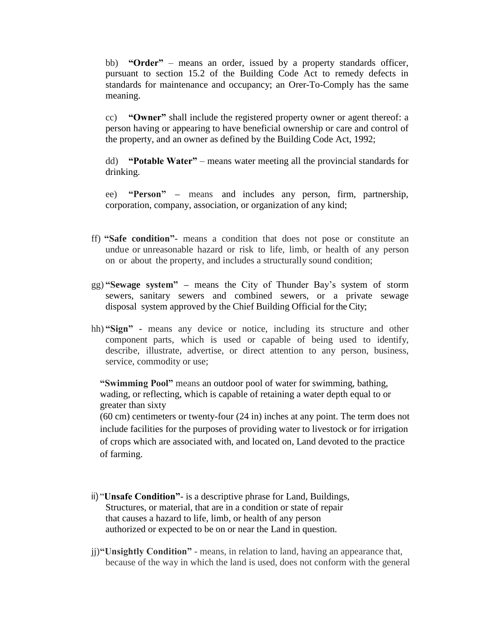bb) **"Order"** – means an order, issued by a property standards officer, pursuant to section 15.2 of the Building Code Act to remedy defects in standards for maintenance and occupancy; an Orer-To-Comply has the same meaning.

cc) **"Owner"** shall include the registered property owner or agent thereof: a person having or appearing to have beneficial ownership or care and control of the property, and an owner as defined by the Building Code Act, 1992;

dd) **"Potable Water"** – means water meeting all the provincial standards for drinking.

ee) **"Person" –** means and includes any person, firm, partnership, corporation, company, association, or organization of any kind;

- ff) **"Safe condition"-** means a condition that does not pose or constitute an undue or unreasonable hazard or risk to life, limb, or health of any person on or about the property, and includes a structurally sound condition;
- gg) **"Sewage system" –** means the City of Thunder Bay's system of storm sewers, sanitary sewers and combined sewers, or a private sewage disposal system approved by the Chief Building Official for the City;
- hh) **"Sign" -** means any device or notice, including its structure and other component parts, which is used or capable of being used to identify, describe, illustrate, advertise, or direct attention to any person, business, service, commodity or use;

**"Swimming Pool"** means an outdoor pool of water for swimming, bathing, wading, or reflecting, which is capable of retaining a water depth equal to or greater than sixty

(60 cm) centimeters or twenty-four (24 in) inches at any point. The term does not include facilities for the purposes of providing water to livestock or for irrigation of crops which are associated with, and located on, Land devoted to the practice of farming.

- ii) "**Unsafe Condition"** is a descriptive phrase for Land, Buildings, Structures, or material, that are in a condition or state of repair that causes a hazard to life, limb, or health of any person authorized or expected to be on or near the Land in question.
- jj)**"Unsightly Condition"**  means, in relation to land, having an appearance that, because of the way in which the land is used, does not conform with the general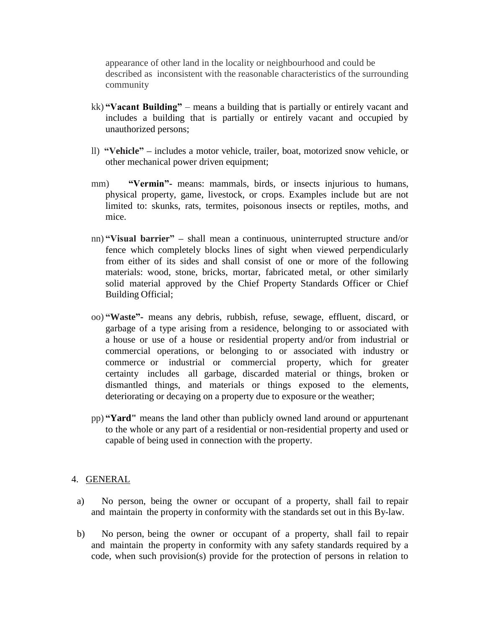appearance of other land in the locality or neighbourhood and could be described as inconsistent with the reasonable characteristics of the surrounding community

- kk) **"Vacant Building"**  means a building that is partially or entirely vacant and includes a building that is partially or entirely vacant and occupied by unauthorized persons;
- ll) **"Vehicle" –** includes a motor vehicle, trailer, boat, motorized snow vehicle, or other mechanical power driven equipment;
- mm) **"Vermin"** means: mammals, birds, or insects injurious to humans, physical property, game, livestock, or crops. Examples include but are not limited to: skunks, rats, termites, poisonous insects or reptiles, moths, and mice.
- nn) **"Visual barrier" –** shall mean a continuous, uninterrupted structure and/or fence which completely blocks lines of sight when viewed perpendicularly from either of its sides and shall consist of one or more of the following materials: wood, stone, bricks, mortar, fabricated metal, or other similarly solid material approved by the Chief Property Standards Officer or Chief Building Official;
- oo) **"Waste"-** means any debris, rubbish, refuse, sewage, effluent, discard, or garbage of a type arising from a residence, belonging to or associated with a house or use of a house or residential property and/or from industrial or commercial operations, or belonging to or associated with industry or commerce or industrial or commercial property, which for greater certainty includes all garbage, discarded material or things, broken or dismantled things, and materials or things exposed to the elements, deteriorating or decaying on a property due to exposure or the weather;
- pp) **"Yard"** means the land other than publicly owned land around or appurtenant to the whole or any part of a residential or non-residential property and used or capable of being used in connection with the property.

## 4. GENERAL

- a) No person, being the owner or occupant of a property, shall fail to repair and maintain the property in conformity with the standards set out in this By-law.
- b) No person, being the owner or occupant of a property, shall fail to repair and maintain the property in conformity with any safety standards required by a code, when such provision(s) provide for the protection of persons in relation to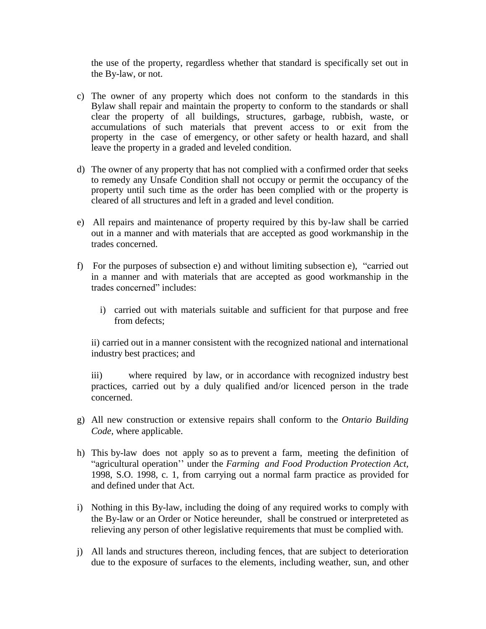the use of the property, regardless whether that standard is specifically set out in the By-law, or not.

- c) The owner of any property which does not conform to the standards in this Bylaw shall repair and maintain the property to conform to the standards or shall clear the property of all buildings, structures, garbage, rubbish, waste, or accumulations of such materials that prevent access to or exit from the property in the case of emergency, or other safety or health hazard, and shall leave the property in a graded and leveled condition.
- d) The owner of any property that has not complied with a confirmed order that seeks to remedy any Unsafe Condition shall not occupy or permit the occupancy of the property until such time as the order has been complied with or the property is cleared of all structures and left in a graded and level condition.
- e) All repairs and maintenance of property required by this by-law shall be carried out in a manner and with materials that are accepted as good workmanship in the trades concerned.
- f) For the purposes of subsection e) and without limiting subsection e), "carried out in a manner and with materials that are accepted as good workmanship in the trades concerned" includes:
	- i) carried out with materials suitable and sufficient for that purpose and free from defects;

ii) carried out in a manner consistent with the recognized national and international industry best practices; and

iii) where required by law, or in accordance with recognized industry best practices, carried out by a duly qualified and/or licenced person in the trade concerned.

- g) All new construction or extensive repairs shall conform to the *Ontario Building Code,* where applicable.
- h) This by-law does not apply so as to prevent a farm, meeting the definition of "agricultural operation'' under the *Farming and Food Production Protection Act,* 1998, S.O. 1998, c. 1, from carrying out a normal farm practice as provided for and defined under that Act.
- i) Nothing in this By-law, including the doing of any required works to comply with the By-law or an Order or Notice hereunder, shall be construed or interpreteted as relieving any person of other legislative requirements that must be complied with.
- j) All lands and structures thereon, including fences, that are subject to deterioration due to the exposure of surfaces to the elements, including weather, sun, and other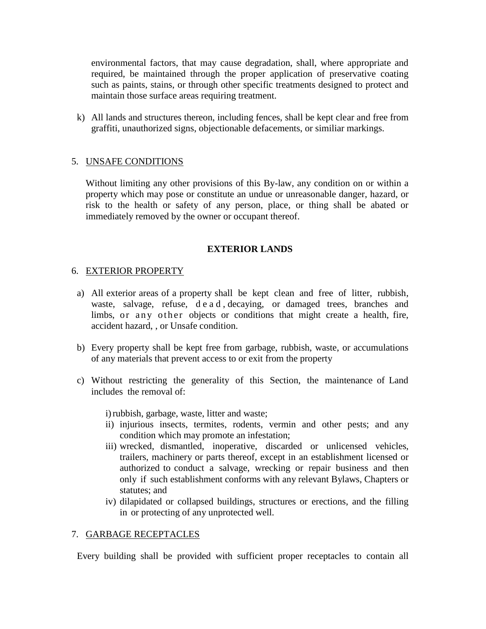environmental factors, that may cause degradation, shall, where appropriate and required, be maintained through the proper application of preservative coating such as paints, stains, or through other specific treatments designed to protect and maintain those surface areas requiring treatment.

k) All lands and structures thereon, including fences, shall be kept clear and free from graffiti, unauthorized signs, objectionable defacements, or similiar markings.

## 5. UNSAFE CONDITIONS

Without limiting any other provisions of this By-law, any condition on or within a property which may pose or constitute an undue or unreasonable danger, hazard, or risk to the health or safety of any person, place, or thing shall be abated or immediately removed by the owner or occupant thereof.

#### **EXTERIOR LANDS**

#### 6. EXTERIOR PROPERTY

- a) All exterior areas of a property shall be kept clean and free of litter, rubbish, waste, salvage, refuse, d e a d , decaying, or damaged trees, branches and limbs, or any other objects or conditions that might create a health, fire, accident hazard, , or Unsafe condition.
- b) Every property shall be kept free from garbage, rubbish, waste, or accumulations of any materials that prevent access to or exit from the property
- c) Without restricting the generality of this Section, the maintenance of Land includes the removal of:

i)rubbish, garbage, waste, litter and waste;

- ii) injurious insects, termites, rodents, vermin and other pests; and any condition which may promote an infestation;
- iii) wrecked, dismantled, inoperative, discarded or unlicensed vehicles, trailers, machinery or parts thereof, except in an establishment licensed or authorized to conduct a salvage, wrecking or repair business and then only if such establishment conforms with any relevant Bylaws, Chapters or statutes; and
- iv) dilapidated or collapsed buildings, structures or erections, and the filling in or protecting of any unprotected well.

#### 7. GARBAGE RECEPTACLES

Every building shall be provided with sufficient proper receptacles to contain all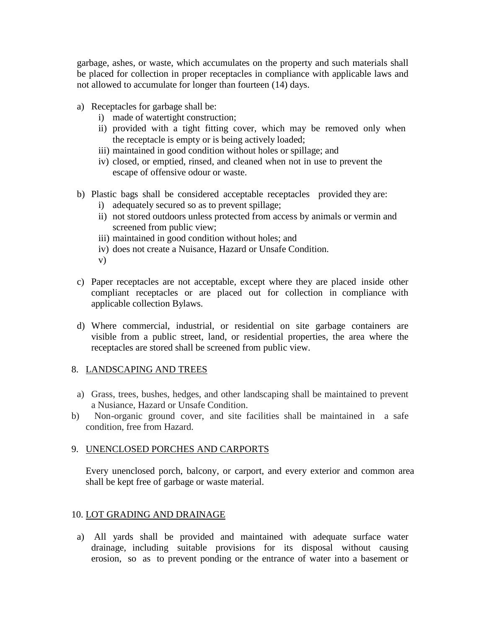garbage, ashes, or waste, which accumulates on the property and such materials shall be placed for collection in proper receptacles in compliance with applicable laws and not allowed to accumulate for longer than fourteen (14) days.

- a) Receptacles for garbage shall be:
	- i) made of watertight construction;
	- ii) provided with a tight fitting cover, which may be removed only when the receptacle is empty or is being actively loaded;
	- iii) maintained in good condition without holes or spillage; and
	- iv) closed, or emptied, rinsed, and cleaned when not in use to prevent the escape of offensive odour or waste.
- b) Plastic bags shall be considered acceptable receptacles provided they are:
	- i) adequately secured so as to prevent spillage;
	- ii) not stored outdoors unless protected from access by animals or vermin and screened from public view;
	- iii) maintained in good condition without holes; and
	- iv) does not create a Nuisance, Hazard or Unsafe Condition.
	- v)
- c) Paper receptacles are not acceptable, except where they are placed inside other compliant receptacles or are placed out for collection in compliance with applicable collection Bylaws.
- d) Where commercial, industrial, or residential on site garbage containers are visible from a public street, land, or residential properties, the area where the receptacles are stored shall be screened from public view.

# 8. LANDSCAPING AND TREES

- a) Grass, trees, bushes, hedges, and other landscaping shall be maintained to prevent a Nusiance, Hazard or Unsafe Condition.
- b) Non-organic ground cover, and site facilities shall be maintained in a safe condition, free from Hazard.

# 9. UNENCLOSED PORCHES AND CARPORTS

Every unenclosed porch, balcony, or carport, and every exterior and common area shall be kept free of garbage or waste material.

# 10. LOT GRADING AND DRAINAGE

a) All yards shall be provided and maintained with adequate surface water drainage, including suitable provisions for its disposal without causing erosion, so as to prevent ponding or the entrance of water into a basement or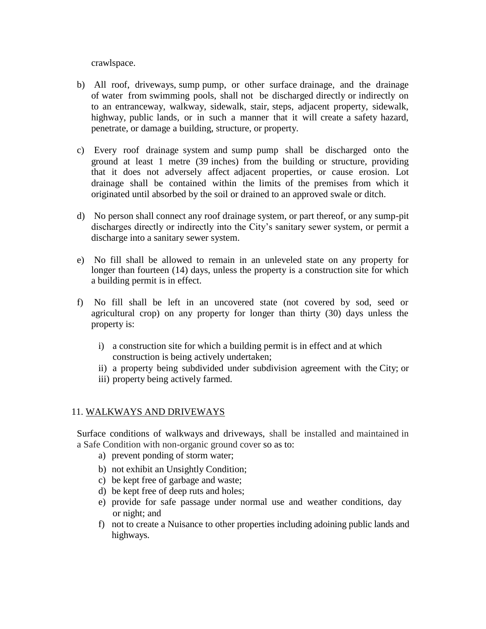crawlspace.

- b) All roof, driveways, sump pump, or other surface drainage, and the drainage of water from swimming pools, shall not be discharged directly or indirectly on to an entranceway, walkway, sidewalk, stair, steps, adjacent property, sidewalk, highway, public lands, or in such a manner that it will create a safety hazard, penetrate, or damage a building, structure, or property.
- c) Every roof drainage system and sump pump shall be discharged onto the ground at least 1 metre (39 inches) from the building or structure, providing that it does not adversely affect adjacent properties, or cause erosion. Lot drainage shall be contained within the limits of the premises from which it originated until absorbed by the soil or drained to an approved swale or ditch.
- d) No person shall connect any roof drainage system, or part thereof, or any sump-pit discharges directly or indirectly into the City's sanitary sewer system, or permit a discharge into a sanitary sewer system.
- e) No fill shall be allowed to remain in an unleveled state on any property for longer than fourteen (14) days, unless the property is a construction site for which a building permit is in effect.
- f) No fill shall be left in an uncovered state (not covered by sod, seed or agricultural crop) on any property for longer than thirty (30) days unless the property is:
	- i) a construction site for which a building permit is in effect and at which construction is being actively undertaken;
	- ii) a property being subdivided under subdivision agreement with the City; or
	- iii) property being actively farmed.

#### 11. WALKWAYS AND DRIVEWAYS

Surface conditions of walkways and driveways, shall be installed and maintained in a Safe Condition with non-organic ground cover so as to:

- a) prevent ponding of storm water;
- b) not exhibit an Unsightly Condition;
- c) be kept free of garbage and waste;
- d) be kept free of deep ruts and holes;
- e) provide for safe passage under normal use and weather conditions, day or night; and
- f) not to create a Nuisance to other properties including adoining public lands and highways.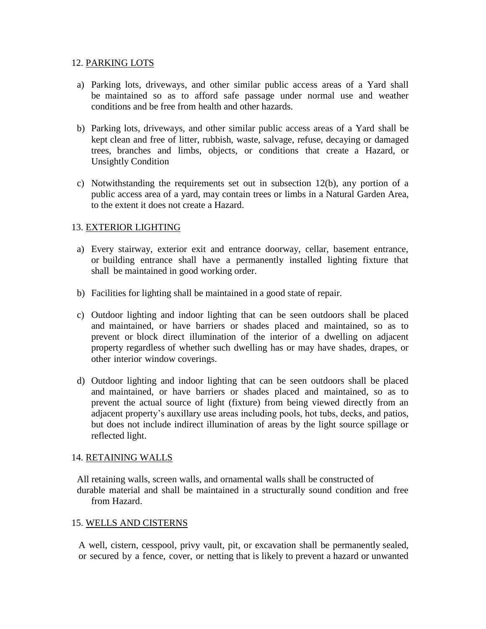#### 12. PARKING LOTS

- a) Parking lots, driveways, and other similar public access areas of a Yard shall be maintained so as to afford safe passage under normal use and weather conditions and be free from health and other hazards.
- b) Parking lots, driveways, and other similar public access areas of a Yard shall be kept clean and free of litter, rubbish, waste, salvage, refuse, decaying or damaged trees, branches and limbs, objects, or conditions that create a Hazard, or Unsightly Condition
- c) Notwithstanding the requirements set out in subsection 12(b), any portion of a public access area of a yard, may contain trees or limbs in a Natural Garden Area, to the extent it does not create a Hazard.

## 13. EXTERIOR LIGHTING

- a) Every stairway, exterior exit and entrance doorway, cellar, basement entrance, or building entrance shall have a permanently installed lighting fixture that shall be maintained in good working order.
- b) Facilities for lighting shall be maintained in a good state of repair.
- c) Outdoor lighting and indoor lighting that can be seen outdoors shall be placed and maintained, or have barriers or shades placed and maintained, so as to prevent or block direct illumination of the interior of a dwelling on adjacent property regardless of whether such dwelling has or may have shades, drapes, or other interior window coverings.
- d) Outdoor lighting and indoor lighting that can be seen outdoors shall be placed and maintained, or have barriers or shades placed and maintained, so as to prevent the actual source of light (fixture) from being viewed directly from an adjacent property's auxillary use areas including pools, hot tubs, decks, and patios, but does not include indirect illumination of areas by the light source spillage or reflected light.

## 14. RETAINING WALLS

All retaining walls, screen walls, and ornamental walls shall be constructed of durable material and shall be maintained in a structurally sound condition and free from Hazard.

#### 15. WELLS AND CISTERNS

A well, cistern, cesspool, privy vault, pit, or excavation shall be permanently sealed, or secured by a fence, cover, or netting that is likely to prevent a hazard or unwanted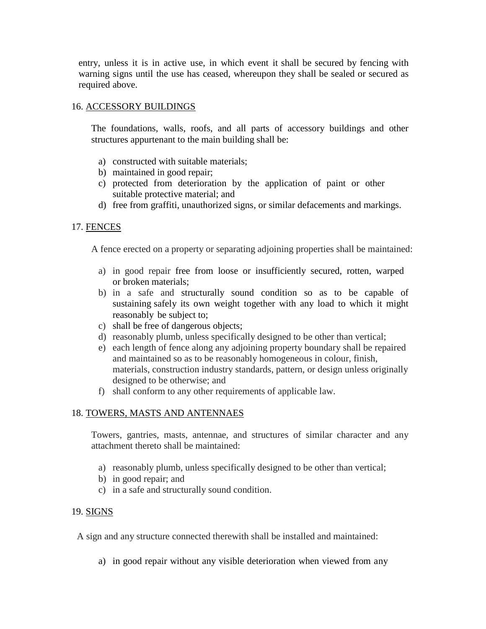entry, unless it is in active use, in which event it shall be secured by fencing with warning signs until the use has ceased, whereupon they shall be sealed or secured as required above.

## 16. ACCESSORY BUILDINGS

The foundations, walls, roofs, and all parts of accessory buildings and other structures appurtenant to the main building shall be:

- a) constructed with suitable materials;
- b) maintained in good repair;
- c) protected from deterioration by the application of paint or other suitable protective material; and
- d) free from graffiti, unauthorized signs, or similar defacements and markings.

## 17. FENCES

A fence erected on a property or separating adjoining properties shall be maintained:

- a) in good repair free from loose or insufficiently secured, rotten, warped or broken materials;
- b) in a safe and structurally sound condition so as to be capable of sustaining safely its own weight together with any load to which it might reasonably be subject to;
- c) shall be free of dangerous objects;
- d) reasonably plumb, unless specifically designed to be other than vertical;
- e) each length of fence along any adjoining property boundary shall be repaired and maintained so as to be reasonably homogeneous in colour, finish, materials, construction industry standards, pattern, or design unless originally designed to be otherwise; and
- f) shall conform to any other requirements of applicable law.

## 18. TOWERS, MASTS AND ANTENNAES

Towers, gantries, masts, antennae, and structures of similar character and any attachment thereto shall be maintained:

- a) reasonably plumb, unless specifically designed to be other than vertical;
- b) in good repair; and
- c) in a safe and structurally sound condition.

## 19. SIGNS

A sign and any structure connected therewith shall be installed and maintained:

a) in good repair without any visible deterioration when viewed from any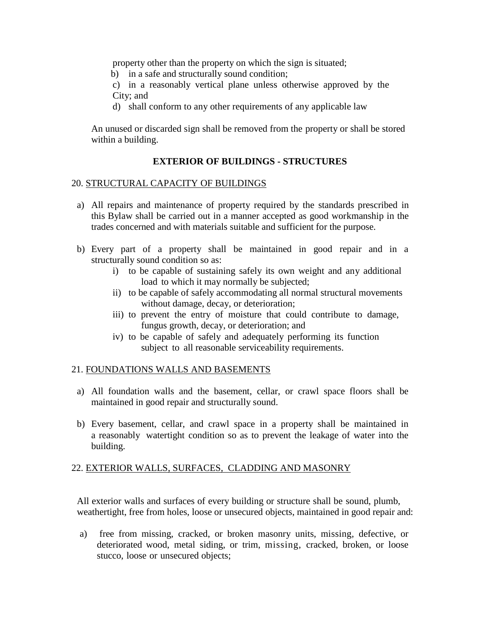property other than the property on which the sign is situated;

b) in a safe and structurally sound condition;

c) in a reasonably vertical plane unless otherwise approved by the City; and

d) shall conform to any other requirements of any applicable law

An unused or discarded sign shall be removed from the property or shall be stored within a building.

# **EXTERIOR OF BUILDINGS - STRUCTURES**

## 20. STRUCTURAL CAPACITY OF BUILDINGS

- a) All repairs and maintenance of property required by the standards prescribed in this Bylaw shall be carried out in a manner accepted as good workmanship in the trades concerned and with materials suitable and sufficient for the purpose.
- b) Every part of a property shall be maintained in good repair and in a structurally sound condition so as:
	- i) to be capable of sustaining safely its own weight and any additional load to which it may normally be subjected;
	- ii) to be capable of safely accommodating all normal structural movements without damage, decay, or deterioration;
	- iii) to prevent the entry of moisture that could contribute to damage, fungus growth, decay, or deterioration; and
	- iv) to be capable of safely and adequately performing its function subject to all reasonable serviceability requirements.

## 21. FOUNDATIONS WALLS AND BASEMENTS

- a) All foundation walls and the basement, cellar, or crawl space floors shall be maintained in good repair and structurally sound.
- b) Every basement, cellar, and crawl space in a property shall be maintained in a reasonably watertight condition so as to prevent the leakage of water into the building.

## 22. EXTERIOR WALLS, SURFACES, CLADDING AND MASONRY

All exterior walls and surfaces of every building or structure shall be sound, plumb, weathertight, free from holes, loose or unsecured objects, maintained in good repair and:

a) free from missing, cracked, or broken masonry units, missing, defective, or deteriorated wood, metal siding, or trim, missing, cracked, broken, or loose stucco, loose or unsecured objects;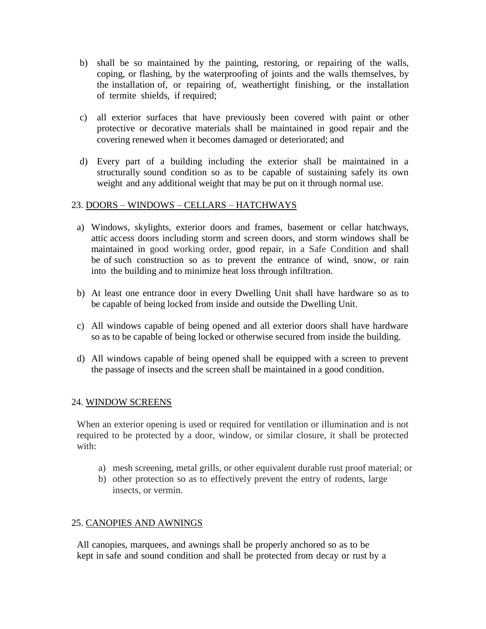- b) shall be so maintained by the painting, restoring, or repairing of the walls, coping, or flashing, by the waterproofing of joints and the walls themselves, by the installation of, or repairing of, weathertight finishing, or the installation of termite shields, if required;
- c) all exterior surfaces that have previously been covered with paint or other protective or decorative materials shall be maintained in good repair and the covering renewed when it becomes damaged or deteriorated; and
- d) Every part of a building including the exterior shall be maintained in a structurally sound condition so as to be capable of sustaining safely its own weight and any additional weight that may be put on it through normal use.

## 23. DOORS – WINDOWS – CELLARS – HATCHWAYS

- a) Windows, skylights, exterior doors and frames, basement or cellar hatchways, attic access doors including storm and screen doors, and storm windows shall be maintained in good working order, good repair, in a Safe Condition and shall be of such construction so as to prevent the entrance of wind, snow, or rain into the building and to minimize heat loss through infiltration.
- b) At least one entrance door in every Dwelling Unit shall have hardware so as to be capable of being locked from inside and outside the Dwelling Unit.
- c) All windows capable of being opened and all exterior doors shall have hardware so as to be capable of being locked or otherwise secured from inside the building.
- d) All windows capable of being opened shall be equipped with a screen to prevent the passage of insects and the screen shall be maintained in a good condition.

## 24. WINDOW SCREENS

When an exterior opening is used or required for ventilation or illumination and is not required to be protected by a door, window, or similar closure, it shall be protected with:

- a) mesh screening, metal grills, or other equivalent durable rust proof material; or
- b) other protection so as to effectively prevent the entry of rodents, large insects, or vermin.

## 25. CANOPIES AND AWNINGS

All canopies, marquees, and awnings shall be properly anchored so as to be kept in safe and sound condition and shall be protected from decay or rust by a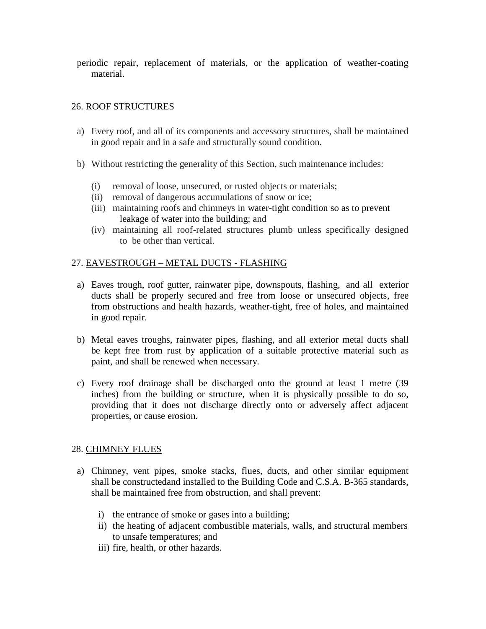periodic repair, replacement of materials, or the application of weather-coating material.

## 26. ROOF STRUCTURES

- a) Every roof, and all of its components and accessory structures, shall be maintained in good repair and in a safe and structurally sound condition.
- b) Without restricting the generality of this Section, such maintenance includes:
	- (i) removal of loose, unsecured, or rusted objects or materials;
	- (ii) removal of dangerous accumulations of snow or ice;
	- (iii) maintaining roofs and chimneys in water-tight condition so as to prevent leakage of water into the building; and
	- (iv) maintaining all roof-related structures plumb unless specifically designed to be other than vertical.

# 27. EAVESTROUGH – METAL DUCTS - FLASHING

- a) Eaves trough, roof gutter, rainwater pipe, downspouts, flashing, and all exterior ducts shall be properly secured and free from loose or unsecured objects, free from obstructions and health hazards, weather-tight, free of holes, and maintained in good repair.
- b) Metal eaves troughs, rainwater pipes, flashing, and all exterior metal ducts shall be kept free from rust by application of a suitable protective material such as paint, and shall be renewed when necessary.
- c) Every roof drainage shall be discharged onto the ground at least 1 metre (39 inches) from the building or structure, when it is physically possible to do so, providing that it does not discharge directly onto or adversely affect adjacent properties, or cause erosion.

## 28. CHIMNEY FLUES

- a) Chimney, vent pipes, smoke stacks, flues, ducts, and other similar equipment shall be constructedand installed to the Building Code and C.S.A. B-365 standards, shall be maintained free from obstruction, and shall prevent:
	- i) the entrance of smoke or gases into a building;
	- ii) the heating of adjacent combustible materials, walls, and structural members to unsafe temperatures; and
	- iii) fire, health, or other hazards.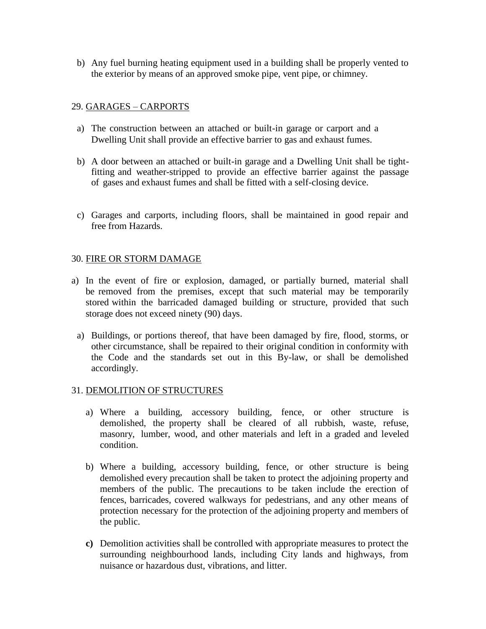b) Any fuel burning heating equipment used in a building shall be properly vented to the exterior by means of an approved smoke pipe, vent pipe, or chimney.

## 29. GARAGES – CARPORTS

- a) The construction between an attached or built-in garage or carport and a Dwelling Unit shall provide an effective barrier to gas and exhaust fumes.
- b) A door between an attached or built-in garage and a Dwelling Unit shall be tightfitting and weather-stripped to provide an effective barrier against the passage of gases and exhaust fumes and shall be fitted with a self-closing device.
- c) Garages and carports, including floors, shall be maintained in good repair and free from Hazards.

## 30. FIRE OR STORM DAMAGE

- a) In the event of fire or explosion, damaged, or partially burned, material shall be removed from the premises, except that such material may be temporarily stored within the barricaded damaged building or structure, provided that such storage does not exceed ninety (90) days.
- a) Buildings, or portions thereof, that have been damaged by fire, flood, storms, or other circumstance, shall be repaired to their original condition in conformity with the Code and the standards set out in this By-law, or shall be demolished accordingly.

## 31. DEMOLITION OF STRUCTURES

- a) Where a building, accessory building, fence, or other structure is demolished, the property shall be cleared of all rubbish, waste, refuse, masonry, lumber, wood, and other materials and left in a graded and leveled condition.
- b) Where a building, accessory building, fence, or other structure is being demolished every precaution shall be taken to protect the adjoining property and members of the public. The precautions to be taken include the erection of fences, barricades, covered walkways for pedestrians, and any other means of protection necessary for the protection of the adjoining property and members of the public.
- **c)** Demolition activities shall be controlled with appropriate measures to protect the surrounding neighbourhood lands, including City lands and highways, from nuisance or hazardous dust, vibrations, and litter.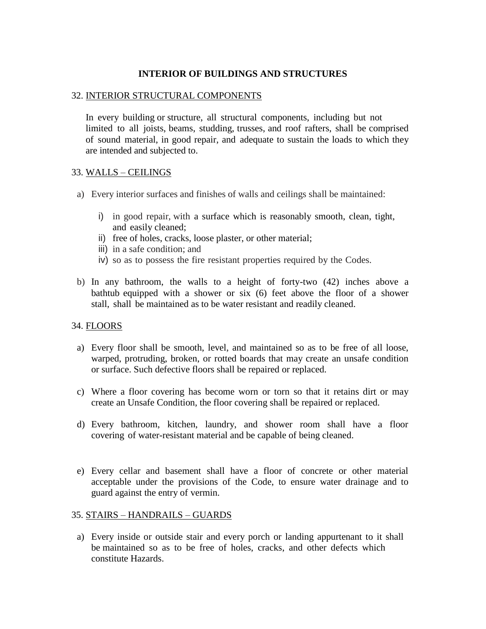## **INTERIOR OF BUILDINGS AND STRUCTURES**

#### 32. INTERIOR STRUCTURAL COMPONENTS

In every building or structure, all structural components, including but not limited to all joists, beams, studding, trusses, and roof rafters, shall be comprised of sound material, in good repair, and adequate to sustain the loads to which they are intended and subjected to.

## 33. WALLS – CEILINGS

- a) Every interior surfaces and finishes of walls and ceilings shall be maintained:
	- i) in good repair, with a surface which is reasonably smooth, clean, tight, and easily cleaned;
	- ii) free of holes, cracks, loose plaster, or other material;
	- iii) in a safe condition; and
	- iv) so as to possess the fire resistant properties required by the Codes.
- b) In any bathroom, the walls to a height of forty-two (42) inches above a bathtub equipped with a shower or six (6) feet above the floor of a shower stall, shall be maintained as to be water resistant and readily cleaned.

## 34. FLOORS

- a) Every floor shall be smooth, level, and maintained so as to be free of all loose, warped, protruding, broken, or rotted boards that may create an unsafe condition or surface. Such defective floors shall be repaired or replaced.
- c) Where a floor covering has become worn or torn so that it retains dirt or may create an Unsafe Condition, the floor covering shall be repaired or replaced.
- d) Every bathroom, kitchen, laundry, and shower room shall have a floor covering of water-resistant material and be capable of being cleaned.
- e) Every cellar and basement shall have a floor of concrete or other material acceptable under the provisions of the Code, to ensure water drainage and to guard against the entry of vermin.

## 35. STAIRS – HANDRAILS – GUARDS

a) Every inside or outside stair and every porch or landing appurtenant to it shall be maintained so as to be free of holes, cracks, and other defects which constitute Hazards.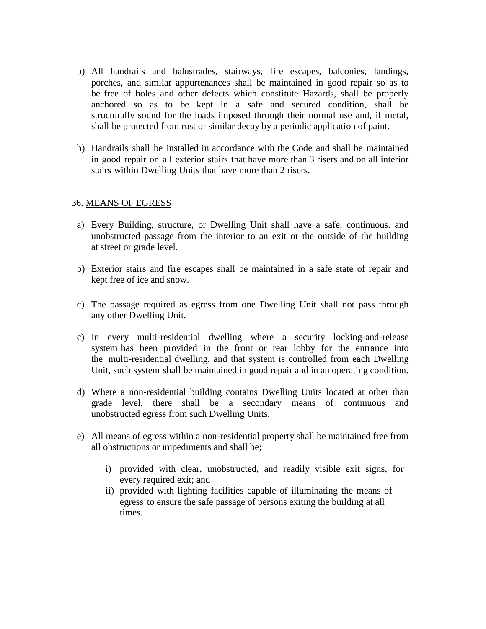- b) All handrails and balustrades, stairways, fire escapes, balconies, landings, porches, and similar appurtenances shall be maintained in good repair so as to be free of holes and other defects which constitute Hazards, shall be properly anchored so as to be kept in a safe and secured condition, shall be structurally sound for the loads imposed through their normal use and, if metal, shall be protected from rust or similar decay by a periodic application of paint.
- b) Handrails shall be installed in accordance with the Code and shall be maintained in good repair on all exterior stairs that have more than 3 risers and on all interior stairs within Dwelling Units that have more than 2 risers.

## 36. MEANS OF EGRESS

- a) Every Building, structure, or Dwelling Unit shall have a safe, continuous. and unobstructed passage from the interior to an exit or the outside of the building at street or grade level.
- b) Exterior stairs and fire escapes shall be maintained in a safe state of repair and kept free of ice and snow.
- c) The passage required as egress from one Dwelling Unit shall not pass through any other Dwelling Unit.
- c) In every multi-residential dwelling where a security locking-and-release system has been provided in the front or rear lobby for the entrance into the multi-residential dwelling, and that system is controlled from each Dwelling Unit, such system shall be maintained in good repair and in an operating condition.
- d) Where a non-residential building contains Dwelling Units located at other than grade level, there shall be a secondary means of continuous and unobstructed egress from such Dwelling Units.
- e) All means of egress within a non-residential property shall be maintained free from all obstructions or impediments and shall be;
	- i) provided with clear, unobstructed, and readily visible exit signs, for every required exit; and
	- ii) provided with lighting facilities capable of illuminating the means of egress to ensure the safe passage of persons exiting the building at all times.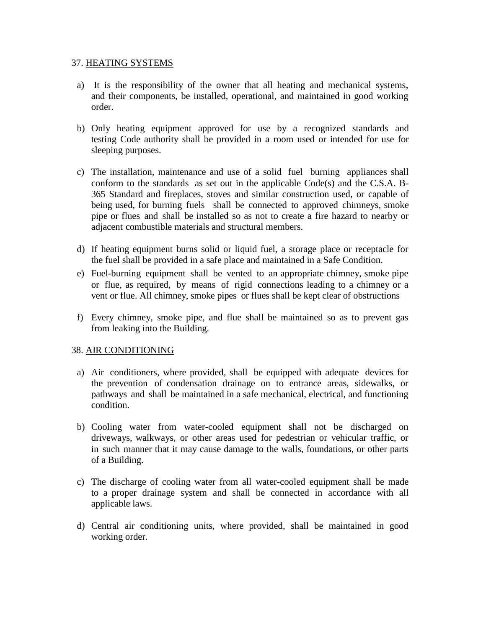#### 37. HEATING SYSTEMS

- a) It is the responsibility of the owner that all heating and mechanical systems, and their components, be installed, operational, and maintained in good working order.
- b) Only heating equipment approved for use by a recognized standards and testing Code authority shall be provided in a room used or intended for use for sleeping purposes.
- c) The installation, maintenance and use of a solid fuel burning appliances shall conform to the standards as set out in the applicable Code(s) and the C.S.A. B-365 Standard and fireplaces, stoves and similar construction used, or capable of being used, for burning fuels shall be connected to approved chimneys, smoke pipe or flues and shall be installed so as not to create a fire hazard to nearby or adjacent combustible materials and structural members.
- d) If heating equipment burns solid or liquid fuel, a storage place or receptacle for the fuel shall be provided in a safe place and maintained in a Safe Condition.
- e) Fuel-burning equipment shall be vented to an appropriate chimney, smoke pipe or flue, as required, by means of rigid connections leading to a chimney or a vent or flue. All chimney, smoke pipes or flues shall be kept clear of obstructions
- f) Every chimney, smoke pipe, and flue shall be maintained so as to prevent gas from leaking into the Building.

## 38. AIR CONDITIONING

- a) Air conditioners, where provided, shall be equipped with adequate devices for the prevention of condensation drainage on to entrance areas, sidewalks, or pathways and shall be maintained in a safe mechanical, electrical, and functioning condition.
- b) Cooling water from water-cooled equipment shall not be discharged on driveways, walkways, or other areas used for pedestrian or vehicular traffic, or in such manner that it may cause damage to the walls, foundations, or other parts of a Building.
- c) The discharge of cooling water from all water-cooled equipment shall be made to a proper drainage system and shall be connected in accordance with all applicable laws.
- d) Central air conditioning units, where provided, shall be maintained in good working order.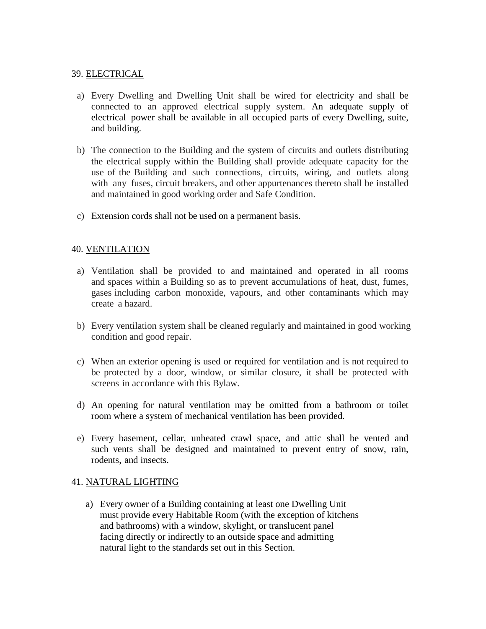## 39. ELECTRICAL

- a) Every Dwelling and Dwelling Unit shall be wired for electricity and shall be connected to an approved electrical supply system. An adequate supply of electrical power shall be available in all occupied parts of every Dwelling, suite, and building.
- b) The connection to the Building and the system of circuits and outlets distributing the electrical supply within the Building shall provide adequate capacity for the use of the Building and such connections, circuits, wiring, and outlets along with any fuses, circuit breakers, and other appurtenances thereto shall be installed and maintained in good working order and Safe Condition.
- c) Extension cords shall not be used on a permanent basis.

## 40. VENTILATION

- a) Ventilation shall be provided to and maintained and operated in all rooms and spaces within a Building so as to prevent accumulations of heat, dust, fumes, gases including carbon monoxide, vapours, and other contaminants which may create a hazard.
- b) Every ventilation system shall be cleaned regularly and maintained in good working condition and good repair.
- c) When an exterior opening is used or required for ventilation and is not required to be protected by a door, window, or similar closure, it shall be protected with screens in accordance with this Bylaw.
- d) An opening for natural ventilation may be omitted from a bathroom or toilet room where a system of mechanical ventilation has been provided.
- e) Every basement, cellar, unheated crawl space, and attic shall be vented and such vents shall be designed and maintained to prevent entry of snow, rain, rodents, and insects.

#### 41. NATURAL LIGHTING

a) Every owner of a Building containing at least one Dwelling Unit must provide every Habitable Room (with the exception of kitchens and bathrooms) with a window, skylight, or translucent panel facing directly or indirectly to an outside space and admitting natural light to the standards set out in this Section.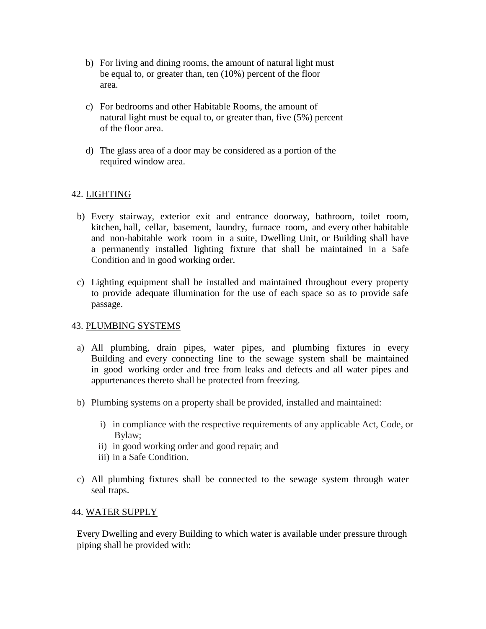- b) For living and dining rooms, the amount of natural light must be equal to, or greater than, ten (10%) percent of the floor area.
- c) For bedrooms and other Habitable Rooms, the amount of natural light must be equal to, or greater than, five (5%) percent of the floor area.
- d) The glass area of a door may be considered as a portion of the required window area.

# 42. LIGHTING

- b) Every stairway, exterior exit and entrance doorway, bathroom, toilet room, kitchen, hall, cellar, basement, laundry, furnace room, and every other habitable and non-habitable work room in a suite, Dwelling Unit, or Building shall have a permanently installed lighting fixture that shall be maintained in a Safe Condition and in good working order.
- c) Lighting equipment shall be installed and maintained throughout every property to provide adequate illumination for the use of each space so as to provide safe passage.

# 43. PLUMBING SYSTEMS

- a) All plumbing, drain pipes, water pipes, and plumbing fixtures in every Building and every connecting line to the sewage system shall be maintained in good working order and free from leaks and defects and all water pipes and appurtenances thereto shall be protected from freezing.
- b) Plumbing systems on a property shall be provided, installed and maintained:
	- i) in compliance with the respective requirements of any applicable Act, Code, or Bylaw;
	- ii) in good working order and good repair; and
	- iii) in a Safe Condition.
- c) All plumbing fixtures shall be connected to the sewage system through water seal traps.

## 44. WATER SUPPLY

Every Dwelling and every Building to which water is available under pressure through piping shall be provided with: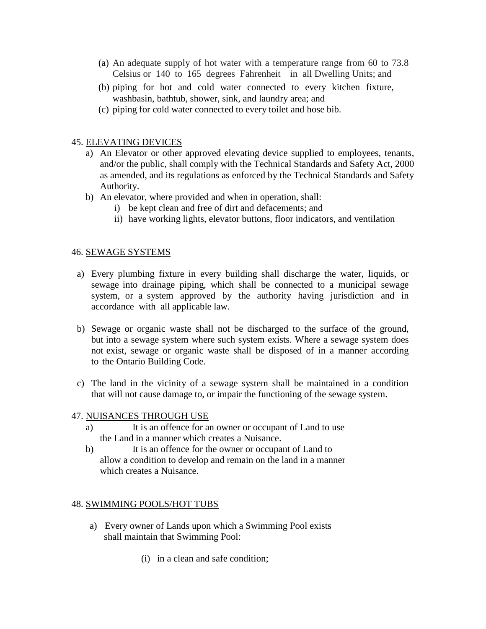- (a) An adequate supply of hot water with a temperature range from 60 to 73.8 Celsius or 140 to 165 degrees Fahrenheit in all Dwelling Units; and
- (b) piping for hot and cold water connected to every kitchen fixture, washbasin, bathtub, shower, sink, and laundry area; and
- (c) piping for cold water connected to every toilet and hose bib.

#### 45. ELEVATING DEVICES

- a) An Elevator or other approved elevating device supplied to employees, tenants, and/or the public, shall comply with the Technical Standards and Safety Act, 2000 as amended, and its regulations as enforced by the Technical Standards and Safety Authority.
- b) An elevator, where provided and when in operation, shall:
	- i) be kept clean and free of dirt and defacements; and
	- ii) have working lights, elevator buttons, floor indicators, and ventilation

#### 46. SEWAGE SYSTEMS

- a) Every plumbing fixture in every building shall discharge the water, liquids, or sewage into drainage piping, which shall be connected to a municipal sewage system, or a system approved by the authority having jurisdiction and in accordance with all applicable law.
- b) Sewage or organic waste shall not be discharged to the surface of the ground, but into a sewage system where such system exists. Where a sewage system does not exist, sewage or organic waste shall be disposed of in a manner according to the Ontario Building Code.
- c) The land in the vicinity of a sewage system shall be maintained in a condition that will not cause damage to, or impair the functioning of the sewage system.

#### 47. NUISANCES THROUGH USE

- a) It is an offence for an owner or occupant of Land to use the Land in a manner which creates a Nuisance.
- b) It is an offence for the owner or occupant of Land to allow a condition to develop and remain on the land in a manner which creates a Nuisance.

#### 48. SWIMMING POOLS/HOT TUBS

- a) Every owner of Lands upon which a Swimming Pool exists shall maintain that Swimming Pool:
	- (i) in a clean and safe condition;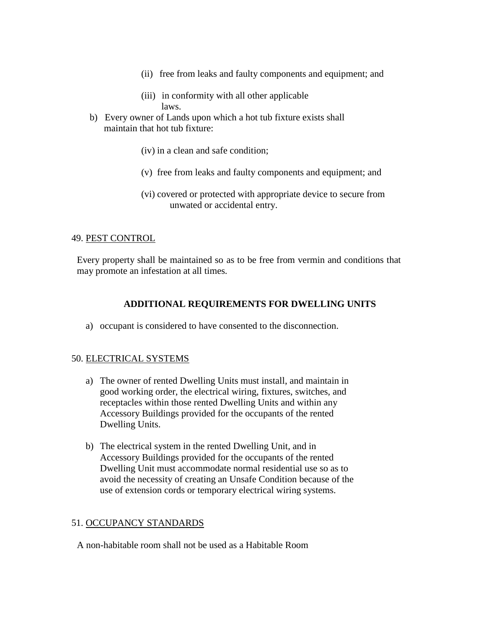- (ii) free from leaks and faulty components and equipment; and
- (iii) in conformity with all other applicable laws.
- b) Every owner of Lands upon which a hot tub fixture exists shall maintain that hot tub fixture:
	- (iv) in a clean and safe condition;
	- (v) free from leaks and faulty components and equipment; and
	- (vi) covered or protected with appropriate device to secure from unwated or accidental entry.

## 49. PEST CONTROL

Every property shall be maintained so as to be free from vermin and conditions that may promote an infestation at all times.

## **ADDITIONAL REQUIREMENTS FOR DWELLING UNITS**

a) occupant is considered to have consented to the disconnection.

## 50. ELECTRICAL SYSTEMS

- a) The owner of rented Dwelling Units must install, and maintain in good working order, the electrical wiring, fixtures, switches, and receptacles within those rented Dwelling Units and within any Accessory Buildings provided for the occupants of the rented Dwelling Units.
- b) The electrical system in the rented Dwelling Unit, and in Accessory Buildings provided for the occupants of the rented Dwelling Unit must accommodate normal residential use so as to avoid the necessity of creating an Unsafe Condition because of the use of extension cords or temporary electrical wiring systems.

#### 51. OCCUPANCY STANDARDS

A non-habitable room shall not be used as a Habitable Room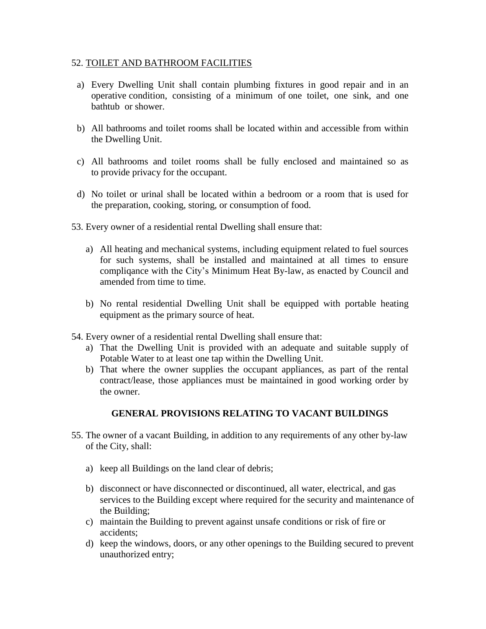#### 52. TOILET AND BATHROOM FACILITIES

- a) Every Dwelling Unit shall contain plumbing fixtures in good repair and in an operative condition, consisting of a minimum of one toilet, one sink, and one bathtub or shower.
- b) All bathrooms and toilet rooms shall be located within and accessible from within the Dwelling Unit.
- c) All bathrooms and toilet rooms shall be fully enclosed and maintained so as to provide privacy for the occupant.
- d) No toilet or urinal shall be located within a bedroom or a room that is used for the preparation, cooking, storing, or consumption of food.
- 53. Every owner of a residential rental Dwelling shall ensure that:
	- a) All heating and mechanical systems, including equipment related to fuel sources for such systems, shall be installed and maintained at all times to ensure compliqance with the City's Minimum Heat By-law, as enacted by Council and amended from time to time.
	- b) No rental residential Dwelling Unit shall be equipped with portable heating equipment as the primary source of heat.
- 54. Every owner of a residential rental Dwelling shall ensure that:
	- a) That the Dwelling Unit is provided with an adequate and suitable supply of Potable Water to at least one tap within the Dwelling Unit.
	- b) That where the owner supplies the occupant appliances, as part of the rental contract/lease, those appliances must be maintained in good working order by the owner.

# **GENERAL PROVISIONS RELATING TO VACANT BUILDINGS**

- 55. The owner of a vacant Building, in addition to any requirements of any other by-law of the City, shall:
	- a) keep all Buildings on the land clear of debris;
	- b) disconnect or have disconnected or discontinued, all water, electrical, and gas services to the Building except where required for the security and maintenance of the Building;
	- c) maintain the Building to prevent against unsafe conditions or risk of fire or accidents;
	- d) keep the windows, doors, or any other openings to the Building secured to prevent unauthorized entry;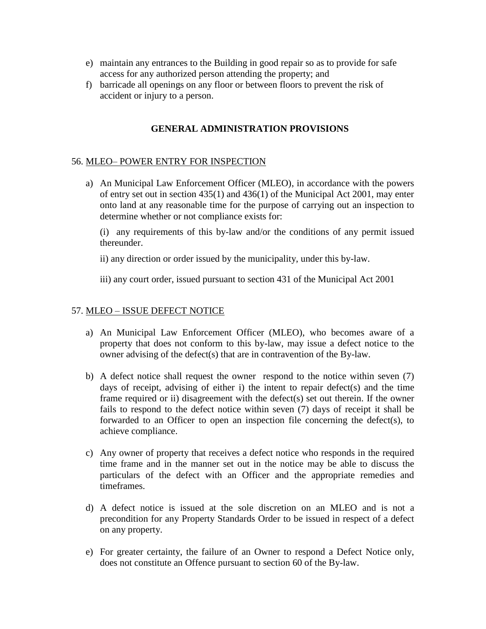- e) maintain any entrances to the Building in good repair so as to provide for safe access for any authorized person attending the property; and
- f) barricade all openings on any floor or between floors to prevent the risk of accident or injury to a person.

## **GENERAL ADMINISTRATION PROVISIONS**

## 56. MLEO– POWER ENTRY FOR INSPECTION

a) An Municipal Law Enforcement Officer (MLEO), in accordance with the powers of entry set out in section 435(1) and 436(1) of the Municipal Act 2001, may enter onto land at any reasonable time for the purpose of carrying out an inspection to determine whether or not compliance exists for:

(i) any requirements of this by-law and/or the conditions of any permit issued thereunder.

ii) any direction or order issued by the municipality, under this by-law.

iii) any court order, issued pursuant to section 431 of the Municipal Act 2001

#### 57. MLEO – ISSUE DEFECT NOTICE

- a) An Municipal Law Enforcement Officer (MLEO), who becomes aware of a property that does not conform to this by-law, may issue a defect notice to the owner advising of the defect(s) that are in contravention of the By-law.
- b) A defect notice shall request the owner respond to the notice within seven (7) days of receipt, advising of either i) the intent to repair defect(s) and the time frame required or ii) disagreement with the defect(s) set out therein. If the owner fails to respond to the defect notice within seven (7) days of receipt it shall be forwarded to an Officer to open an inspection file concerning the defect(s), to achieve compliance.
- c) Any owner of property that receives a defect notice who responds in the required time frame and in the manner set out in the notice may be able to discuss the particulars of the defect with an Officer and the appropriate remedies and timeframes.
- d) A defect notice is issued at the sole discretion on an MLEO and is not a precondition for any Property Standards Order to be issued in respect of a defect on any property.
- e) For greater certainty, the failure of an Owner to respond a Defect Notice only, does not constitute an Offence pursuant to section 60 of the By-law.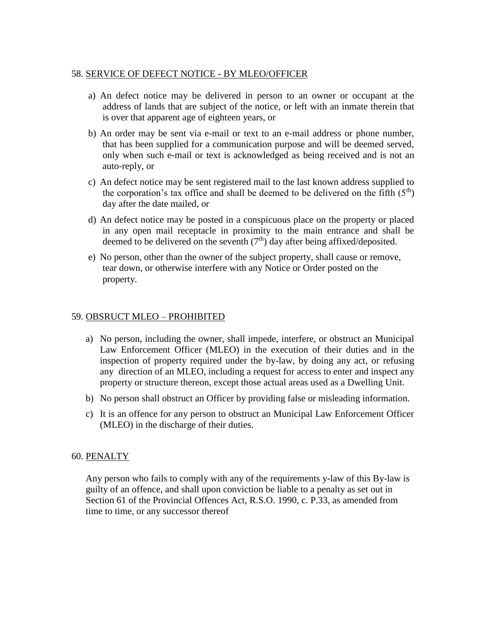## 58. SERVICE OF DEFECT NOTICE - BY MLEO/OFFICER

- a) An defect notice may be delivered in person to an owner or occupant at the address of lands that are subject of the notice, or left with an inmate therein that is over that apparent age of eighteen years, or
- b) An order may be sent via e-mail or text to an e-mail address or phone number, that has been supplied for a communication purpose and will be deemed served, only when such e-mail or text is acknowledged as being received and is not an auto-reply, or
- c) An defect notice may be sent registered mail to the last known address supplied to the corporation's tax office and shall be deemed to be delivered on the fifth  $(5<sup>th</sup>)$ day after the date mailed, or
- d) An defect notice may be posted in a conspicuous place on the property or placed in any open mail receptacle in proximity to the main entrance and shall be deemed to be delivered on the seventh  $(7<sup>th</sup>)$  day after being affixed/deposited.
- e) No person, other than the owner of the subject property, shall cause or remove, tear down, or otherwise interfere with any Notice or Order posted on the property.

# 59. OBSRUCT MLEO – PROHIBITED

- a) No person, including the owner, shall impede, interfere, or obstruct an Municipal Law Enforcement Officer (MLEO) in the execution of their duties and in the inspection of property required under the by-law, by doing any act, or refusing any direction of an MLEO, including a request for access to enter and inspect any property or structure thereon, except those actual areas used as a Dwelling Unit.
- b) No person shall obstruct an Officer by providing false or misleading information.
- c) It is an offence for any person to obstruct an Municipal Law Enforcement Officer (MLEO) in the discharge of their duties.

## 60. PENALTY

Any person who fails to comply with any of the requirements y-law of this By-law is guilty of an offence, and shall upon conviction be liable to a penalty as set out in Section 61 of the Provincial Offences Act, R.S.O. 1990, c. P.33, as amended from time to time, or any successor thereof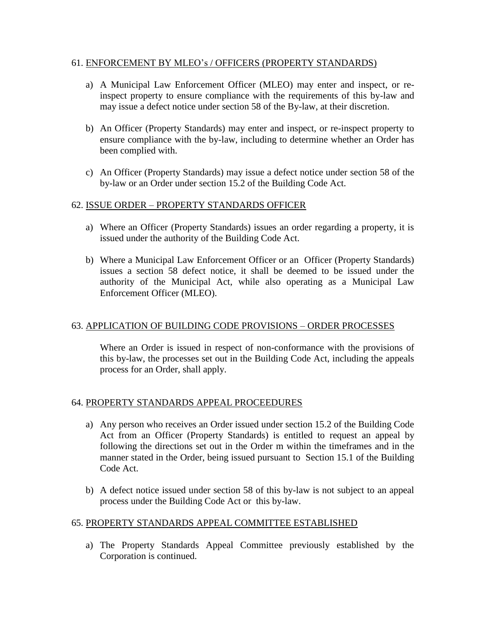## 61. ENFORCEMENT BY MLEO's / OFFICERS (PROPERTY STANDARDS)

- a) A Municipal Law Enforcement Officer (MLEO) may enter and inspect, or reinspect property to ensure compliance with the requirements of this by-law and may issue a defect notice under section 58 of the By-law, at their discretion.
- b) An Officer (Property Standards) may enter and inspect, or re-inspect property to ensure compliance with the by-law, including to determine whether an Order has been complied with.
- c) An Officer (Property Standards) may issue a defect notice under section 58 of the by-law or an Order under section 15.2 of the Building Code Act.

# 62. ISSUE ORDER – PROPERTY STANDARDS OFFICER

- a) Where an Officer (Property Standards) issues an order regarding a property, it is issued under the authority of the Building Code Act.
- b) Where a Municipal Law Enforcement Officer or an Officer (Property Standards) issues a section 58 defect notice, it shall be deemed to be issued under the authority of the Municipal Act, while also operating as a Municipal Law Enforcement Officer (MLEO).

# 63. APPLICATION OF BUILDING CODE PROVISIONS – ORDER PROCESSES

Where an Order is issued in respect of non-conformance with the provisions of this by-law, the processes set out in the Building Code Act, including the appeals process for an Order, shall apply.

# 64. PROPERTY STANDARDS APPEAL PROCEEDURES

- a) Any person who receives an Order issued under section 15.2 of the Building Code Act from an Officer (Property Standards) is entitled to request an appeal by following the directions set out in the Order m within the timeframes and in the manner stated in the Order, being issued pursuant to Section 15.1 of the Building Code Act.
- b) A defect notice issued under section 58 of this by-law is not subject to an appeal process under the Building Code Act or this by-law.

# 65. PROPERTY STANDARDS APPEAL COMMITTEE ESTABLISHED

a) The Property Standards Appeal Committee previously established by the Corporation is continued.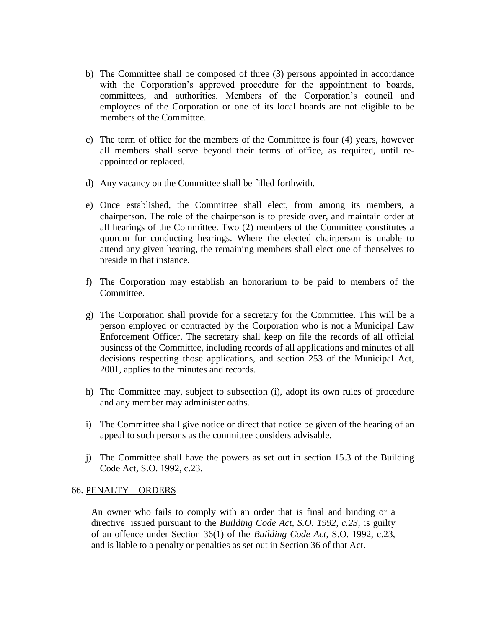- b) The Committee shall be composed of three (3) persons appointed in accordance with the Corporation's approved procedure for the appointment to boards, committees, and authorities. Members of the Corporation's council and employees of the Corporation or one of its local boards are not eligible to be members of the Committee.
- c) The term of office for the members of the Committee is four (4) years, however all members shall serve beyond their terms of office, as required, until reappointed or replaced.
- d) Any vacancy on the Committee shall be filled forthwith.
- e) Once established, the Committee shall elect, from among its members, a chairperson. The role of the chairperson is to preside over, and maintain order at all hearings of the Committee. Two (2) members of the Committee constitutes a quorum for conducting hearings. Where the elected chairperson is unable to attend any given hearing, the remaining members shall elect one of thenselves to preside in that instance.
- f) The Corporation may establish an honorarium to be paid to members of the Committee.
- g) The Corporation shall provide for a secretary for the Committee. This will be a person employed or contracted by the Corporation who is not a Municipal Law Enforcement Officer. The secretary shall keep on file the records of all official business of the Committee, including records of all applications and minutes of all decisions respecting those applications, and section 253 of the Municipal Act, 2001, applies to the minutes and records.
- h) The Committee may, subject to subsection (i), adopt its own rules of procedure and any member may administer oaths.
- i) The Committee shall give notice or direct that notice be given of the hearing of an appeal to such persons as the committee considers advisable.
- j) The Committee shall have the powers as set out in section 15.3 of the Building Code Act, S.O. 1992, c.23.

#### 66. PENALTY – ORDERS

 An owner who fails to comply with an order that is final and binding or a directive issued pursuant to the *Building Code Act, S.O. 1992, c.23,* is guilty of an offence under Section 36(1) of the *Building Code Act*, S.O. 1992, c.23, and is liable to a penalty or penalties as set out in Section 36 of that Act.